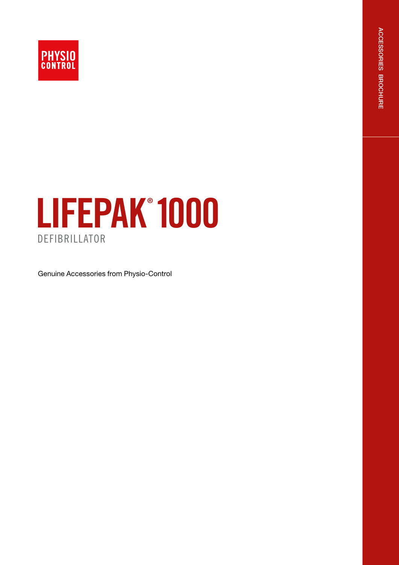

# LIFEPAK<sup>®</sup> 1000

**DEFIBRILLATOR** 

Genuine Accessories from Physio-Control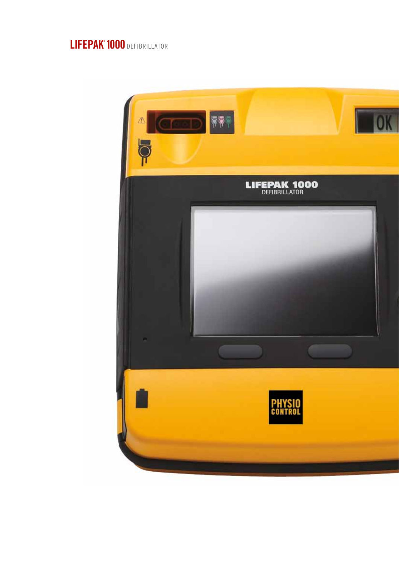## LIFEPAK<sup>®</sup> 1000 DEFIBRILLATOR

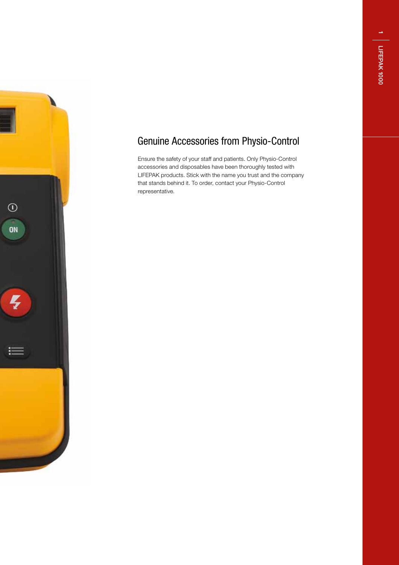$\overline{\phantom{0}}$ 



## Genuine Accessories from Physio-Control

Ensure the safety of your staff and patients. Only Physio-Control accessories and disposables have been thoroughly tested with LIFEPAK products. Stick with the name you trust and the company that stands behind it. To order, contact your Physio-Control representative.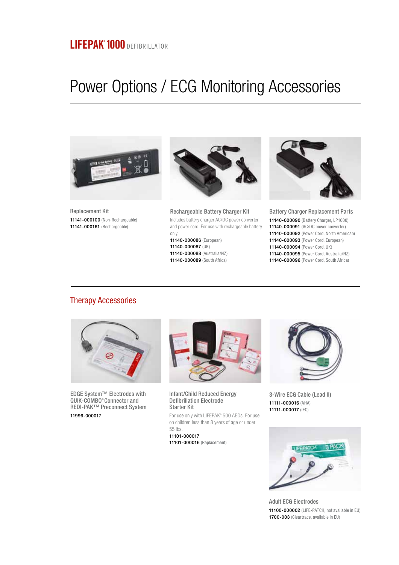# Power Options / ECG Monitoring Accessories



Replacement Kit 11141-000100 (Non-Rechargeable) 11141-000161 (Rechargeable)



Rechargeable Battery Charger Kit Includes battery charger AC/DC power converter, and power cord. For use with rechargeable battery only.

11140-000086 (European) 11140-000087 (UK) 11140-000088 (Australia/NZ) 11140-000089 (South Africa)



Battery Charger Replacement Parts 11140-000090 (Battery Charger, LP1000) 11140-000091 (AC/DC power converter) 11140-000092 (Power Cord, North American) 11140-000093 (Power Cord, European) 11140-000094 (Power Cord, UK) 11140-000095 (Power Cord, Australia/NZ) 11140-000096 (Power Cord, South Africa)

#### Therapy Accessories



EDGE System™ Electrodes with QUIK-COMBO® Connector and REDI-PAK™ Preconnect System 11996-000017



Infant/Child Reduced Energy Defibrillation Electrode Starter Kit

For use only with LIFEPAK® 500 AEDs. For use on children less than 8 years of age or under 55 lbs. 11101-000017

11101-000016 (Replacement)



3-Wire ECG Cable (Lead II) 11111-000016 (AHA) 11111-000017 (IEC)



Adult ECG Electrodes 11100-000002 (LIFE-PATCH, not available in EU) 1700-003 (Cleartrace, available in EU)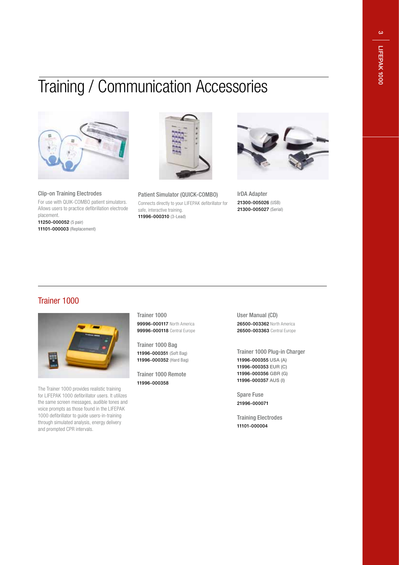$\infty$ 

# Training / Communication Accessories



Clip-on Training Electrodes For use with QUIK-COMBO patient simulators. Allows users to practice defibrillation electrode placement. 11250-000052 (5 pair) 11101-000003 (Replacement)



Patient Simulator (QUICK-COMBO) Connects directly to your LIFEPAK defibrillator for safe, interactive training. 11996-000310 (3-Lead)



IrDA Adapter 21300-005026 (USB) 21300-005027 (Serial)

#### Trainer 1000



The Trainer 1000 provides realistic training for LIFEPAK 1000 defibrillator users. It utilizes the same screen messages, audible tones and voice prompts as those found in the LIFEPAK 1000 defibrillator to guide users-in-training through simulated analysis, energy delivery and prompted CPR intervals.

Trainer 1000 **99996-000117** North America 99996-000118 Central Europe

Trainer 1000 Bag 11996-000351 (Soft Bag) 11996-000352 (Hard Bag)

Trainer 1000 Remote 11996-000358

User Manual (CD) 26500-003362 North America 26500-003363 Central Europe

Trainer 1000 Plug-in Charger 11996-000355 USA (A) 11996-000353 EUR (C) 11996-000356 GBR (G) 11996-000357 AUS (I)

Spare Fuse 21996-000071

Training Electrodes 11101-000004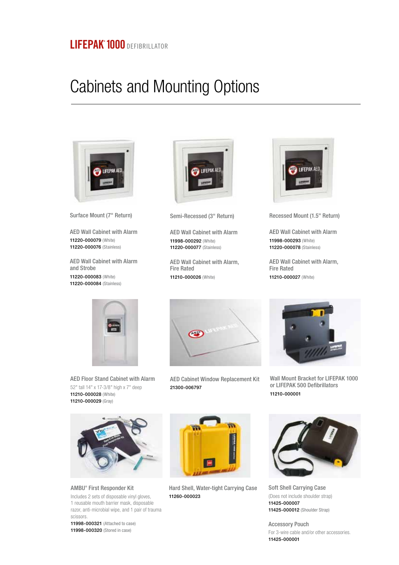### LIFEPAK<sup>®</sup> 1000 DEFIBRILLATOR

## Cabinets and Mounting Options



Surface Mount (7" Return)

AED Wall Cabinet with Alarm 11220-000079 (White) 11220-000076 (Stainless)

AED Wall Cabinet with Alarm and Strobe

11220-000083 (White) 11220-000084 (Stainless)



Semi-Recessed (3" Return)

AED Wall Cabinet with Alarm 11998-000292 (White) 11220-000077 (Stainless)

AED Wall Cabinet with Alarm, Fire Rated 11210-000026 (White)



Recessed Mount (1.5" Return)

AED Wall Cabinet with Alarm 11998-000293 (White) 11220-000078 (Stainless)

AED Wall Cabinet with Alarm, Fire Rated 11210-000027 (White)



AED Floor Stand Cabinet with Alarm 52" tall 14" x 17-3/8" high x 7" deep 11210-000028 (White) 11210-000029 (Gray)



AMBU® First Responder Kit Includes 2 sets of disposable vinyl gloves, 1 reusable mouth barrier mask, disposable razor, anti-microbial wipe, and 1 pair of trauma scissors.

11998-000321 (Attached to case) 11998-000320 (Stored in case)



AED Cabinet Window Replacement Kit 21300-006797

Hard Shell, Water-tight Carrying Case

11260-000023



Wall Mount Bracket for LIFEPAK 1000 or LIFEPAK 500 Defibrillators 11210-000001



Soft Shell Carrying Case (Does not include shoulder strap) 11425-000007 11425-000012 (Shoulder Strap)

Accessory Pouch For 3-wire cable and/or other accessories. 11425-000001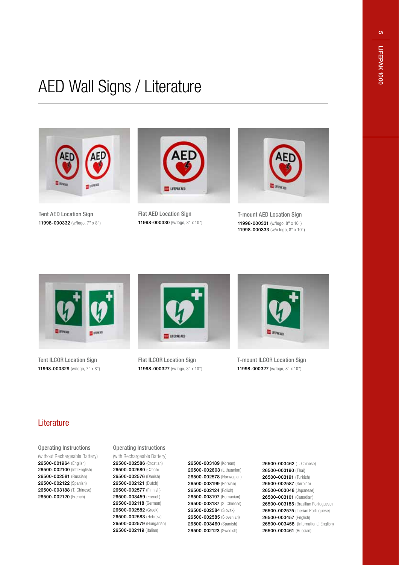**o** 

# AED Wall Signs / Literature



Tent AED Location Sign 11998-000332 (w/logo, 7" x 8")



Flat AED Location Sign 11998-000330 (w/logo, 8" x 10")



T-mount AED Location Sign 11998-000331 (w/logo, 8" x 10") 11998-000333 (w/o logo, 8" x 10")



Tent ILCOR Location Sign 11998-000329 (w/logo, 7" x 8")



Flat ILCOR Location Sign 11998-000327 (w/logo, 8" x 10")



T-mount ILCOR Location Sign 11998-000327 (w/logo, 8" x 10")

#### Literature

Operating Instructions

(without Rechargeable Battery) 26500-001964 (English) 26500-002100 (Intl English) 26500-002581 (Russian) 26500-002122 (Spanish) 26500-003188 (T. Chinese) 26500-002120 (French)

#### Operating Instructions

(with Rechargeable Battery) 26500-002586 (Croatian) 26500-002580 (Czech) 26500-002576 (Danish) 26500-002121 (Dutch) 26500-002577 (Finnish) 26500-003459 (French) 26500-002118 (German) 26500-002582 (Greek) 26500-002583 (Hebrew) 26500-002579 (Hungarian) 26500-002119 (Italian)

26500-003189 (Korean) 26500-002603 (Lithuanian) 26500-002578 (Norwegian) 26500-003199 (Persian) 26500-002124 (Polish) 26500-003197 (Romanian) 26500-003187 (S. Chinese) 26500-002584 (Slovak) 26500-002585 (Slovenian) 26500-003460 (Spanish) 26500-002123 (Swedish)

26500-003462 (T. Chinese) 26500-003190 (Thai) 26500-003191 (Turkish) 26500-002587 (Serbian) 26500-003048 (Japanese) 26500-003101 (Canadian) 26500-003185 (Brazilian Portuguese) 26500-002575 (Iberian Portuguese) 26500-003457 (English) 26500-003458 (International English) 26500-003461 (Russian)